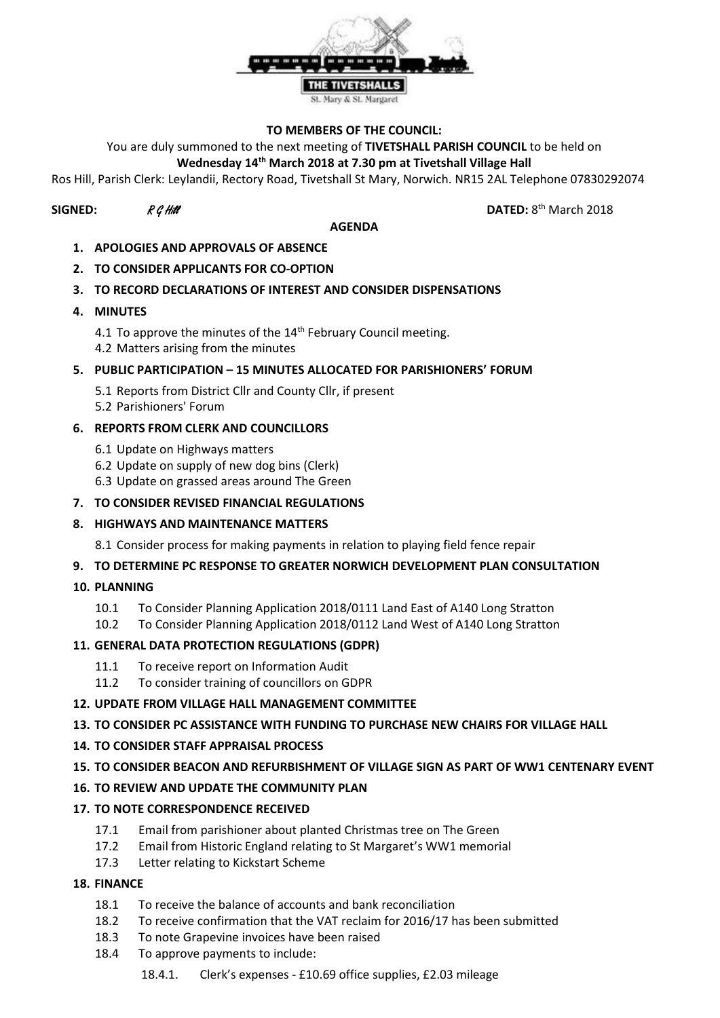

#### **TO MEMBERS OF THE COUNCIL:**

You are duly summoned to the next meeting of **TIVETSHALL PARISH COUNCIL** to be held on

### **Wednesday 14th March 2018 at 7.30 pm at Tivetshall Village Hall**

Ros Hill, Parish Clerk: Leylandii, Rectory Road, Tivetshall St Mary, Norwich. NR15 2AL Telephone 07830292074

# **SIGNED:**  $R \mathcal{G}$  Hill **DATED:** 8

#### **AGENDA**

DATED:  $8<sup>th</sup>$  March 2018

- **1. APOLOGIES AND APPROVALS OF ABSENCE**
- **2. TO CONSIDER APPLICANTS FOR CO-OPTION**

### **3. TO RECORD DECLARATIONS OF INTEREST AND CONSIDER DISPENSATIONS**

- **4. MINUTES**
	- 4.1 To approve the minutes of the  $14<sup>th</sup>$  February Council meeting. 4.2 Matters arising from the minutes
- **5. PUBLIC PARTICIPATION – 15 MINUTES ALLOCATED FOR PARISHIONERS' FORUM**
	- 5.1 Reports from District Cllr and County Cllr, if present
	- 5.2 Parishioners' Forum

### **6. REPORTS FROM CLERK AND COUNCILLORS**

- 6.1 Update on Highways matters
- 6.2 Update on supply of new dog bins (Clerk)
- 6.3 Update on grassed areas around The Green

### **7. TO CONSIDER REVISED FINANCIAL REGULATIONS**

### **8. HIGHWAYS AND MAINTENANCE MATTERS**

8.1 Consider process for making payments in relation to playing field fence repair

### **9. TO DETERMINE PC RESPONSE TO GREATER NORWICH DEVELOPMENT PLAN CONSULTATION**

- **10. PLANNING**
	- 10.1 To Consider Planning Application 2018/0111 Land East of A140 Long Stratton
	- 10.2 To Consider Planning Application 2018/0112 Land West of A140 Long Stratton

## **11. GENERAL DATA PROTECTION REGULATIONS (GDPR)**

- 11.1 To receive report on Information Audit
- 11.2 To consider training of councillors on GDPR

### **12. UPDATE FROM VILLAGE HALL MANAGEMENT COMMITTEE**

## **13. TO CONSIDER PC ASSISTANCE WITH FUNDING TO PURCHASE NEW CHAIRS FOR VILLAGE HALL**

- **14. TO CONSIDER STAFF APPRAISAL PROCESS**
- **15. TO CONSIDER BEACON AND REFURBISHMENT OF VILLAGE SIGN AS PART OF WW1 CENTENARY EVENT**

## **16. TO REVIEW AND UPDATE THE COMMUNITY PLAN**

## **17. TO NOTE CORRESPONDENCE RECEIVED**

- 17.1 Email from parishioner about planted Christmas tree on The Green
- 17.2 Email from Historic England relating to St Margaret's WW1 memorial
- 17.3 Letter relating to Kickstart Scheme

### **18. FINANCE**

- 18.1 To receive the balance of accounts and bank reconciliation
- 18.2 To receive confirmation that the VAT reclaim for 2016/17 has been submitted
- 18.3 To note Grapevine invoices have been raised
- 18.4 To approve payments to include:
	- 18.4.1. Clerk's expenses £10.69 office supplies, £2.03 mileage